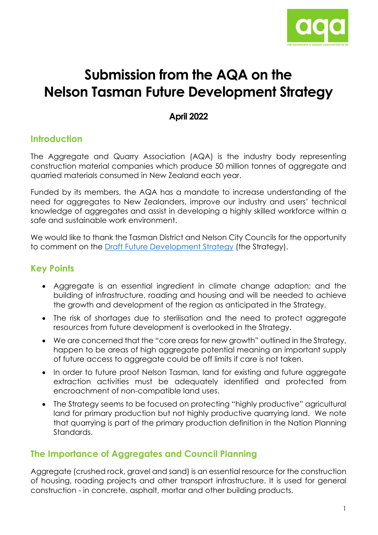

# **Submission from the AQA on the Nelson Tasman Future Development Strategy**

## **April 2022**

# **Introduction**

The Aggregate and Quarry Association (AQA) is the industry body representing construction material companies which produce 50 million tonnes of aggregate and quarried materials consumed in New Zealand each year.

Funded by its members, the AQA has a mandate to increase understanding of the need for aggregates to New Zealanders, improve our industry and users' technical knowledge of aggregates and assist in developing a highly skilled workforce within a safe and sustainable work environment.

We would like to thank the Tasman District and Nelson City Councils for the opportunity to comment on the [Draft Future Development Strategy](https://shape.nelson.govt.nz/future-development-strategy) (the Strategy).

# **Key Points**

- Aggregate is an essential ingredient in climate change adaption; and the building of infrastructure, roading and housing and will be needed to achieve the growth and development of the region as anticipated in the Strategy.
- The risk of shortages due to sterilisation and the need to protect aggregate resources from future development is overlooked in the Strategy.
- We are concerned that the "core areas for new growth" outlined in the Strategy, happen to be areas of high aggregate potential meaning an important supply of future access to aggregate could be off limits if care is not taken.
- In order to future proof Nelson Tasman, land for existing and future aggregate extraction activities must be adequately identified and protected from encroachment of non-compatible land uses.
- The Strategy seems to be focused on protecting "highly productive" agricultural land for primary production but not highly productive quarrying land. We note that quarrying is part of the primary production definition in the Nation Planning Standards.

# **The Importance of Aggregates and Council Planning**

Aggregate (crushed rock, gravel and sand) is an essential resource for the construction of housing, roading projects and other transport infrastructure. It is used for general construction - in concrete, asphalt, mortar and other building products.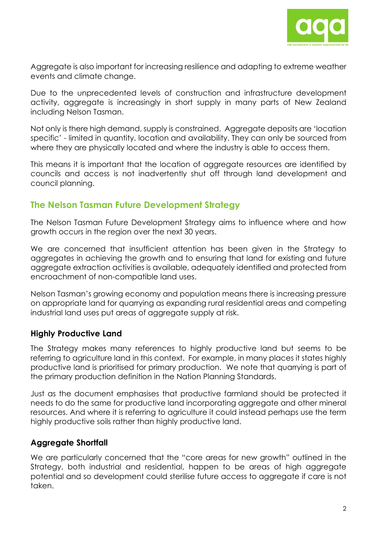

Aggregate is also important for increasing resilience and adapting to extreme weather events and climate change.

Due to the unprecedented levels of construction and infrastructure development activity, aggregate is increasingly in short supply in many parts of New Zealand including Nelson Tasman.

Not only is there high demand, supply is constrained. Aggregate deposits are 'location specific' - limited in quantity, location and availability. They can only be sourced from where they are physically located and where the industry is able to access them.

This means it is important that the location of aggregate resources are identified by councils and access is not inadvertently shut off through land development and council planning.

## **The Nelson Tasman Future Development Strategy**

The Nelson Tasman Future Development Strategy aims to influence where and how growth occurs in the region over the next 30 years.

We are concerned that insufficient attention has been given in the Strategy to aggregates in achieving the growth and to ensuring that land for existing and future aggregate extraction activities is available, adequately identified and protected from encroachment of non-compatible land uses.

Nelson Tasman's growing economy and population means there is increasing pressure on appropriate land for quarrying as expanding rural residential areas and competing industrial land uses put areas of aggregate supply at risk.

#### **Highly Productive Land**

The Strategy makes many references to highly productive land but seems to be referring to agriculture land in this context. For example, in many places it states highly productive land is prioritised for primary production. We note that quarrying is part of the primary production definition in the Nation Planning Standards.

Just as the document emphasises that productive farmland should be protected it needs to do the same for productive land incorporating aggregate and other mineral resources. And where it is referring to agriculture it could instead perhaps use the term highly productive soils rather than highly productive land.

## **Aggregate Shortfall**

We are particularly concerned that the "core areas for new growth" outlined in the Strategy, both industrial and residential, happen to be areas of high aggregate potential and so development could sterilise future access to aggregate if care is not taken.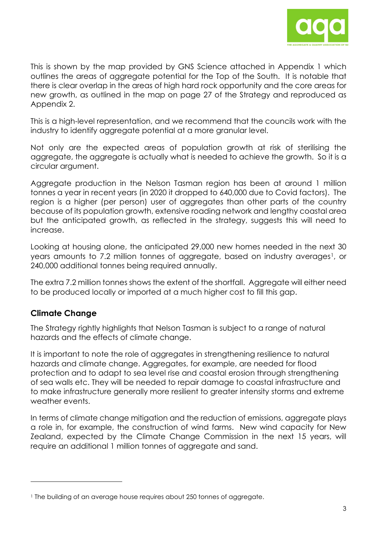

This is shown by the map provided by GNS Science attached in Appendix 1 which outlines the areas of aggregate potential for the Top of the South. It is notable that there is clear overlap in the areas of high hard rock opportunity and the core areas for new growth, as outlined in the map on page 27 of the Strategy and reproduced as Appendix 2.

This is a high-level representation, and we recommend that the councils work with the industry to identify aggregate potential at a more granular level.

Not only are the expected areas of population growth at risk of sterilising the aggregate, the aggregate is actually what is needed to achieve the growth. So it is a circular argument.

Aggregate production in the Nelson Tasman region has been at around 1 million tonnes a year in recent years (in 2020 it dropped to 640,000 due to Covid factors). The region is a higher (per person) user of aggregates than other parts of the country because of its population growth, extensive roading network and lengthy coastal area but the anticipated growth, as reflected in the strategy, suggests this will need to increase.

Looking at housing alone, the anticipated 29,000 new homes needed in the next 30 years amounts to 7.2 million tonnes of aggregate, based on industry averages<sup>1</sup>, or 240,000 additional tonnes being required annually.

The extra 7.2 million tonnes shows the extent of the shortfall. Aggregate will either need to be produced locally or imported at a much higher cost to fill this gap.

## **Climate Change**

The Strategy rightly highlights that Nelson Tasman is subject to a range of natural hazards and the effects of climate change.

It is important to note the role of aggregates in strengthening resilience to natural hazards and climate change. Aggregates, for example, are needed for flood protection and to adapt to sea level rise and coastal erosion through strengthening of sea walls etc. They will be needed to repair damage to coastal infrastructure and to make infrastructure generally more resilient to greater intensity storms and extreme weather events.

In terms of climate change mitigation and the reduction of emissions, aggregate plays a role in, for example, the construction of wind farms. New wind capacity for New Zealand, expected by the Climate Change Commission in the next 15 years, will require an additional 1 million tonnes of aggregate and sand.

<span id="page-2-0"></span><sup>1</sup> The building of an average house requires about 250 tonnes of aggregate.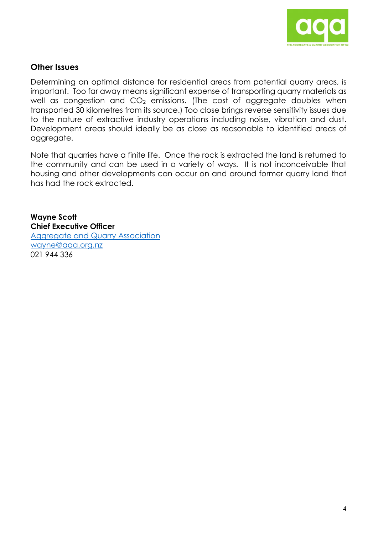

#### **Other Issues**

Determining an optimal distance for residential areas from potential quarry areas, is important. Too far away means significant expense of transporting quarry materials as well as congestion and  $CO<sub>2</sub>$  emissions. (The cost of aggregate doubles when transported 30 kilometres from its source.) Too close brings reverse sensitivity issues due to the nature of extractive industry operations including noise, vibration and dust. Development areas should ideally be as close as reasonable to identified areas of aggregate.

Note that quarries have a finite life. Once the rock is extracted the land is returned to the community and can be used in a variety of ways. It is not inconceivable that housing and other developments can occur on and around former quarry land that has had the rock extracted.

**Wayne Scott Chief Executive Officer**  [Aggregate and Quarry Association](https://aqa.org.nz/)  [wayne@aqa.org.nz](mailto:wayne@aqa.org.nz) 021 944 336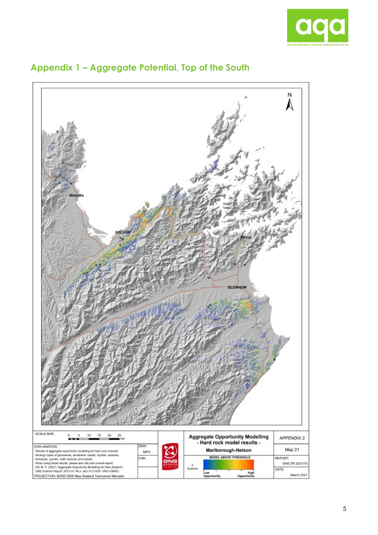



# **Appendix 1 – Aggregate Potential, Top of the South**